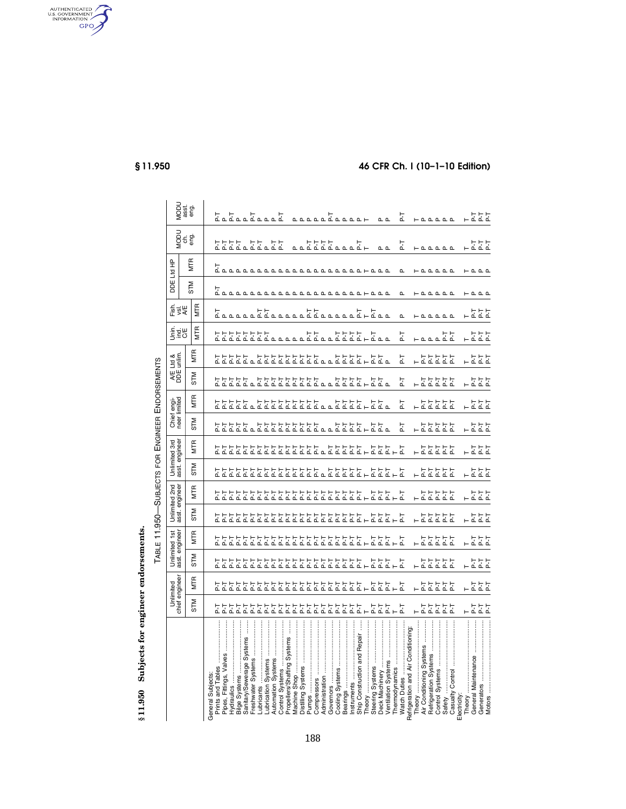§11.950 Subjects for engineer endorsements. **§ 11.950 Subjects for engineer endorsements.** 

TABLE 11.950-SUBJECTS FOR ENGINEER ENDORSEMENTS TABLE 11.950—SUBJECTS FOR ENGINEER ENDORSEMENTS

|                                                           |            | Unlimited<br>chief engineer |            | Unlimited 1st |       | Unlimited 2nd              | Unlimited 3rd<br>asst. engineer         |                                             |       | Chief engi-<br>neer limited               |       | A/E Ltd &<br>DDE unlim.            | <b>ERE</b><br>SER                            | 동<br>이 이<br>시                                                        |                                                                      | DDE Ltd HP                                   |               |                                                                                                                                                                                                                      |
|-----------------------------------------------------------|------------|-----------------------------|------------|---------------|-------|----------------------------|-----------------------------------------|---------------------------------------------|-------|-------------------------------------------|-------|------------------------------------|----------------------------------------------|----------------------------------------------------------------------|----------------------------------------------------------------------|----------------------------------------------|---------------|----------------------------------------------------------------------------------------------------------------------------------------------------------------------------------------------------------------------|
|                                                           |            |                             |            |               |       | asst. engineer             |                                         |                                             |       |                                           |       |                                    |                                              |                                                                      |                                                                      |                                              | MODU<br>eng.  | MODU<br>asst<br>eng.                                                                                                                                                                                                 |
|                                                           | <b>NLS</b> | MTR                         | <b>STM</b> | <b>MTR</b>    | STM   | MTR                        | <b>STM</b>                              | <b>MTR</b>                                  | STM   | MTR                                       | STM   | <b>MTR</b>                         | <b>MTR</b>                                   | <b>MTR</b>                                                           | STM                                                                  | <b>MTR</b>                                   |               |                                                                                                                                                                                                                      |
| Prints and Tables<br>General Subjects:                    |            |                             |            |               |       |                            |                                         |                                             |       |                                           |       |                                    |                                              |                                                                      |                                                                      |                                              |               |                                                                                                                                                                                                                      |
| $\frac{1}{2}$<br>Fittings, Valves<br>Pipes,               |            | _ ŻŻŻŻŻ군ŻŻŻŻŻŻŻŻŻŻŻŻŻŻ      |            |               |       | 로그걸로그 그걸걸걸걸걸걸걸걸걸고걸걸걸걸걸걸걸걸고 | בלבל בל בל בל בל בל בל בל בל בל בל בל ב | <u>בלבל בלבל בלבל בלבל בל בלבל בלבל בלב</u> |       | בלבל בל בל בל בל בל בל בים בל בל בים בל ב |       | <u>בבבבב בבבבבבבבב במבלבב בבבה</u> | <u>בללללללל המתחת ללתת ללללל ה</u>           | L<br>Lananaldananaldananaldan                                        |                                                                      | קסססססססססססססססססררססס<br>ר                 | ヹヹゟヹゟヹゟゟヹヹ    |                                                                                                                                                                                                                      |
| <b>Hydraulics</b>                                         |            |                             |            |               |       |                            |                                         |                                             |       |                                           |       |                                    |                                              |                                                                      |                                                                      |                                              |               |                                                                                                                                                                                                                      |
| Bilge Systems                                             |            |                             |            |               |       |                            |                                         |                                             |       |                                           |       |                                    |                                              |                                                                      |                                                                      |                                              |               |                                                                                                                                                                                                                      |
| Systems<br>Sanitary/Sewerage                              |            |                             |            |               |       |                            |                                         |                                             |       |                                           |       |                                    |                                              |                                                                      |                                                                      |                                              |               |                                                                                                                                                                                                                      |
| Freshwater Systems                                        |            |                             |            |               |       |                            |                                         |                                             |       |                                           |       |                                    |                                              |                                                                      |                                                                      |                                              |               |                                                                                                                                                                                                                      |
|                                                           |            |                             |            |               |       |                            |                                         |                                             |       |                                           |       |                                    |                                              |                                                                      |                                                                      |                                              |               |                                                                                                                                                                                                                      |
| ubrication Systems                                        |            |                             |            |               |       |                            |                                         |                                             |       |                                           |       |                                    |                                              |                                                                      |                                                                      |                                              |               |                                                                                                                                                                                                                      |
| <b>Automation Systems</b><br><b>Control Systems</b>       |            |                             |            |               |       |                            |                                         |                                             |       |                                           |       |                                    |                                              |                                                                      |                                                                      |                                              |               |                                                                                                                                                                                                                      |
| Systems<br>Propellers/Shafting                            |            |                             |            |               |       |                            |                                         |                                             |       |                                           |       |                                    |                                              |                                                                      |                                                                      |                                              |               |                                                                                                                                                                                                                      |
| Machine Shop                                              |            |                             |            |               |       |                            |                                         |                                             |       |                                           |       |                                    |                                              |                                                                      |                                                                      |                                              |               |                                                                                                                                                                                                                      |
| Distilling Systems                                        |            |                             |            |               |       |                            |                                         |                                             |       |                                           |       |                                    |                                              |                                                                      |                                                                      |                                              | 고고고고고고고고 고구   | $\begin{array}{c}\n\mathbf{0} & \mathbf{0} & \mathbf{0} & \mathbf{0} & \mathbf{0} & \mathbf{0} & \mathbf{0} & \mathbf{0} & \mathbf{0} & \mathbf{0} & \mathbf{0} & \mathbf{0} & \mathbf{0} & \mathbf{0}\n\end{array}$ |
| Pumps                                                     |            |                             |            |               |       |                            |                                         |                                             |       |                                           |       |                                    |                                              |                                                                      |                                                                      |                                              |               |                                                                                                                                                                                                                      |
| Compressors                                               |            |                             |            |               |       |                            |                                         |                                             |       |                                           |       |                                    |                                              |                                                                      |                                                                      |                                              |               |                                                                                                                                                                                                                      |
| Administration                                            |            |                             |            |               |       |                            |                                         |                                             |       |                                           |       |                                    |                                              |                                                                      |                                                                      |                                              |               |                                                                                                                                                                                                                      |
| Governors                                                 |            |                             |            |               |       |                            |                                         |                                             |       |                                           |       |                                    |                                              |                                                                      |                                                                      |                                              |               |                                                                                                                                                                                                                      |
| Cooling Systems                                           |            |                             |            |               |       |                            |                                         |                                             |       |                                           |       |                                    |                                              |                                                                      |                                                                      |                                              |               |                                                                                                                                                                                                                      |
| <b>Bearings</b>                                           |            |                             |            |               |       |                            |                                         |                                             |       |                                           |       |                                    |                                              |                                                                      |                                                                      |                                              |               |                                                                                                                                                                                                                      |
|                                                           |            |                             |            |               |       |                            |                                         |                                             |       |                                           |       |                                    |                                              |                                                                      |                                                                      |                                              |               |                                                                                                                                                                                                                      |
| Ship Construction and Repair                              |            |                             |            |               |       |                            |                                         |                                             |       |                                           |       |                                    |                                              |                                                                      |                                                                      |                                              |               |                                                                                                                                                                                                                      |
| Theory                                                    |            |                             |            |               |       |                            |                                         |                                             |       |                                           |       |                                    |                                              |                                                                      |                                                                      |                                              |               |                                                                                                                                                                                                                      |
| <br>Steering Systems                                      |            |                             |            |               |       |                            | ΓĻ                                      |                                             |       |                                           |       |                                    |                                              |                                                                      |                                                                      |                                              |               |                                                                                                                                                                                                                      |
| Deck Machinery                                            |            |                             |            |               |       |                            |                                         |                                             |       |                                           |       |                                    |                                              |                                                                      |                                                                      |                                              | $\sim$ $\sim$ | $\sim$ $\sim$                                                                                                                                                                                                        |
| <b>Ventilation Systems</b>                                |            | 꿈구물물                        |            | 고 그 그 그       |       |                            | 고그고고                                    |                                             |       |                                           |       |                                    |                                              |                                                                      |                                                                      |                                              |               |                                                                                                                                                                                                                      |
|                                                           |            |                             |            |               |       |                            |                                         |                                             |       |                                           |       |                                    |                                              |                                                                      |                                                                      |                                              |               |                                                                                                                                                                                                                      |
| Refrigeration and Air Conditioning<br><b>Watch Duties</b> |            |                             |            |               |       |                            |                                         |                                             | ΓĀ    | Ŀ                                         | ΓĀ    | ΓĻ                                 | 군                                            | $\mathbf{a}$                                                         | $\mathbf{r}$                                                         | $\mathbf{r}$                                 | 군             | 군                                                                                                                                                                                                                    |
| Theory                                                    |            |                             |            |               |       |                            |                                         |                                             |       |                                           |       |                                    |                                              |                                                                      |                                                                      |                                              |               |                                                                                                                                                                                                                      |
| Air Conditioning Systems                                  | 고고고고고      | 고고고고고                       | 고고         | 부호목적으         | 고고고고고 | 고고고고고                      | 고고                                      | 부호목주목                                       | 고고고고고 | 고고고고고                                     | 고고고고고 | $\frac{1}{2}$                      | $\vdash$ $\triangle$ $\triangle$ $\triangle$ | $\vdash$ $\triangle$ $\triangle$ $\triangle$ $\triangle$ $\triangle$ | $\vdash$ $\triangle$ $\triangle$ $\triangle$ $\triangle$ $\triangle$ |                                              |               | $-\Delta\Delta\Delta\Delta$                                                                                                                                                                                          |
| Refrigeration Systems                                     |            |                             |            |               |       |                            |                                         |                                             |       |                                           |       |                                    |                                              |                                                                      |                                                                      |                                              |               |                                                                                                                                                                                                                      |
| Control Systems                                           |            |                             | 고고고        |               |       |                            | 군군도                                     |                                             |       |                                           |       |                                    |                                              |                                                                      |                                                                      |                                              |               |                                                                                                                                                                                                                      |
| Safety                                                    |            |                             |            |               |       |                            |                                         |                                             |       |                                           |       |                                    | 문도                                           |                                                                      |                                                                      |                                              |               |                                                                                                                                                                                                                      |
|                                                           |            |                             |            |               |       |                            |                                         |                                             |       |                                           |       |                                    |                                              |                                                                      |                                                                      |                                              |               |                                                                                                                                                                                                                      |
| =lectricity:                                              |            |                             |            |               |       |                            |                                         |                                             |       |                                           |       |                                    |                                              |                                                                      |                                                                      |                                              |               |                                                                                                                                                                                                                      |
| Theory                                                    |            |                             |            |               |       |                            |                                         |                                             |       |                                           |       | 노군                                 |                                              |                                                                      |                                                                      |                                              |               |                                                                                                                                                                                                                      |
| General Maintenance                                       |            |                             |            |               |       |                            | ΓĀ                                      |                                             |       |                                           |       |                                    |                                              |                                                                      |                                                                      |                                              |               |                                                                                                                                                                                                                      |
| Generators<br>Motors                                      | 고고고        | 고고고                         | 고고도        | 777           | 고고고   | 고고고                        | 물                                       | 누호호호                                        | 고고고   | 고고고                                       | 부수로   | 불출                                 | 고고고                                          | 고고고                                                                  | $\vdash$ $\uparrow$ $\uparrow$ $\uparrow$                            | $\vdash$ $\triangle$ $\triangle$ $\triangle$ | 고고고           | 고고고                                                                                                                                                                                                                  |
|                                                           |            |                             |            |               |       |                            |                                         |                                             |       |                                           |       |                                    |                                              |                                                                      |                                                                      |                                              |               |                                                                                                                                                                                                                      |

AUTHENTICATED

## **§ 11.950 46 CFR Ch. I (10–1–10 Edition)**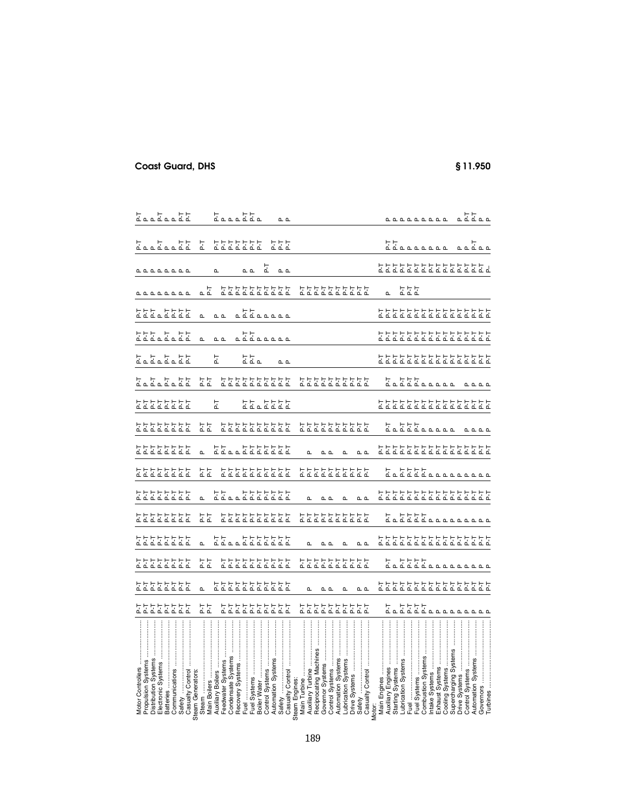| Motor Controllers                                     | 55555555          | 불불불불불불             | 55555555                    | 55555555          | 로로로로로도로        | 55555555          | 불불불불불                              | 로로로로로도로           | 55555555            | 55555555          | こ고 고 고 고 고 <u>고</u> |                  | 고고 고고 고고고                  | 불불불입물불물                 |                 |                  |                  |                  |
|-------------------------------------------------------|-------------------|--------------------|-----------------------------|-------------------|----------------|-------------------|------------------------------------|-------------------|---------------------|-------------------|---------------------|------------------|----------------------------|-------------------------|-----------------|------------------|------------------|------------------|
| Propulsion Systems                                    |                   |                    |                             |                   |                |                   |                                    |                   |                     |                   |                     |                  |                            |                         |                 |                  |                  |                  |
| Distribution Systems<br>Electronic Systems            |                   |                    |                             |                   |                |                   |                                    |                   |                     |                   |                     |                  |                            |                         |                 |                  |                  |                  |
| <b>Batteries</b>                                      |                   |                    |                             |                   |                |                   |                                    |                   |                     |                   |                     |                  |                            |                         |                 |                  |                  |                  |
| Communications                                        |                   |                    |                             |                   |                |                   |                                    |                   |                     |                   |                     |                  |                            |                         | <b>LLLLLLLL</b> | <b>LLLLLLLL</b>  |                  |                  |
| Safety                                                |                   |                    |                             |                   |                |                   |                                    |                   |                     |                   |                     |                  |                            |                         |                 |                  |                  |                  |
| Casualty Control                                      |                   |                    |                             |                   |                |                   |                                    |                   |                     |                   |                     |                  |                            |                         |                 |                  |                  |                  |
| eam Generators:                                       |                   |                    |                             |                   |                |                   |                                    |                   |                     |                   |                     |                  |                            |                         |                 |                  |                  |                  |
| Steam                                                 |                   | $\Delta$           |                             |                   |                |                   |                                    |                   |                     |                   |                     |                  | $\mathbf{a}$               | $\mathbf{a}$            |                 |                  | 군                |                  |
| <b>Main Boilers</b>                                   | 불                 |                    | 盂                           |                   | 盂              |                   | 불                                  |                   | 盂                   |                   | 불                   |                  |                            |                         | ᇟ               |                  |                  |                  |
| <b>Auxiliary Boilers</b>                              |                   |                    |                             |                   |                |                   |                                    |                   |                     | 군                 |                     | F.T              |                            |                         |                 | $\mathbf{r}$     |                  |                  |
| Feedwater Systems                                     |                   |                    |                             |                   |                |                   |                                    |                   |                     |                   |                     |                  | $\sim$ $\sim$              | $\sim$ $\sim$           |                 |                  |                  |                  |
| Condensate Systems                                    |                   |                    |                             |                   |                |                   |                                    |                   |                     |                   |                     |                  |                            |                         |                 |                  |                  |                  |
| Recovery Systems                                      | 불불불불불불            | <u>去去去去去去去去</u> 去去 | <u> ב는 도로로 도로 도</u> 로       | <u>ללבבללל לל</u> | 불불불불불불         |                   | 불불불불불불                             | <u>ללבבללל לל</u> | <u> 국물 국물 국물 국물</u> |                   | 불불불불불불              |                  |                            |                         | 5555555555      |                  | 불불불불불불           |                  |
| Fuel                                                  |                   |                    |                             |                   |                |                   |                                    |                   |                     |                   |                     |                  |                            |                         |                 |                  |                  |                  |
| Fuel Systems                                          |                   |                    |                             |                   |                |                   |                                    |                   |                     | 222222            |                     | ᅹᅹᇟ              | LEL LALLA                  | <u>_ 뉴뉴</u><br>프로프트프트프트 |                 | $\sim$ $\sim$    |                  |                  |
| Boiler Water                                          |                   |                    |                             |                   |                |                   |                                    |                   |                     |                   |                     |                  |                            |                         |                 |                  |                  |                  |
| Systems<br>Control                                    |                   |                    |                             |                   |                |                   |                                    |                   |                     |                   |                     |                  |                            |                         |                 | 문                |                  |                  |
| <b>Automation Systems</b>                             |                   |                    |                             |                   |                |                   |                                    |                   |                     |                   |                     |                  |                            |                         |                 |                  |                  |                  |
| Safety                                                |                   |                    |                             |                   |                |                   |                                    |                   |                     |                   |                     |                  |                            |                         |                 |                  |                  |                  |
| Casualty Control                                      |                   |                    |                             |                   |                |                   |                                    |                   |                     |                   |                     | $\sim \alpha$    |                            |                         |                 | $\sim$ $\sim$    | 고고고              | $\sim$ $\sim$    |
| team Engines:                                         |                   |                    |                             |                   |                |                   |                                    |                   |                     |                   |                     |                  |                            |                         |                 |                  |                  |                  |
| Main Turbine                                          |                   |                    |                             |                   |                |                   |                                    |                   |                     |                   |                     |                  |                            |                         |                 |                  |                  |                  |
| Auxiliary Turbine                                     |                   | $\Omega$           |                             |                   |                |                   |                                    |                   |                     |                   |                     |                  |                            |                         |                 |                  |                  |                  |
| Reciprocating Machines                                |                   |                    |                             |                   |                |                   |                                    |                   |                     |                   |                     |                  |                            |                         |                 |                  |                  |                  |
|                                                       |                   |                    |                             |                   |                |                   |                                    |                   |                     |                   |                     |                  |                            |                         |                 |                  |                  |                  |
| Governor Systems                                      |                   | உ உ                |                             | n n               |                | $\sim$ $\sim$     |                                    |                   |                     |                   |                     |                  |                            |                         |                 |                  |                  |                  |
| İ<br>Control Systems                                  |                   |                    |                             |                   |                |                   |                                    |                   |                     |                   |                     |                  |                            |                         |                 |                  |                  |                  |
| <b>Automation Systems</b>                             |                   |                    |                             |                   |                |                   |                                    |                   |                     |                   |                     |                  |                            |                         |                 |                  |                  |                  |
| ubrication Systems                                    | 5555555555        | $\mathbf{r}$       | 불불불불불불                      | n.                | 불불불불불불불        | $\Omega$          | 로로로로로로로로로                          |                   | 5555555555          |                   | 불불불불불불              |                  |                            |                         | 불불불불불불          |                  |                  |                  |
| Drive Systems                                         |                   |                    |                             |                   |                |                   |                                    |                   |                     |                   |                     |                  |                            |                         |                 |                  |                  |                  |
| Safety                                                |                   | உ உ                |                             | $\sim$ $\sim$     |                | $\sim$ $\sim$     |                                    |                   |                     |                   |                     |                  |                            |                         |                 |                  |                  |                  |
| Casualty Control<br><b>Aotor:</b>                     |                   |                    |                             |                   |                |                   |                                    |                   |                     |                   |                     |                  |                            |                         |                 |                  |                  |                  |
|                                                       |                   |                    |                             |                   |                |                   |                                    |                   |                     |                   |                     |                  |                            |                         |                 |                  |                  |                  |
| Main Engines                                          |                   |                    |                             |                   |                |                   |                                    |                   |                     |                   |                     |                  |                            |                         |                 |                  |                  |                  |
| $\ddot{}}$<br>Auxiliary Engines                       |                   |                    |                             |                   |                |                   |                                    |                   |                     |                   |                     |                  |                            |                         |                 |                  |                  |                  |
| Systems<br>Starting S                                 |                   |                    |                             |                   |                |                   |                                    |                   |                     |                   |                     |                  |                            |                         |                 |                  |                  |                  |
| ubrication Systems                                    |                   |                    |                             |                   |                |                   |                                    |                   |                     |                   |                     |                  |                            |                         |                 |                  |                  |                  |
| Fuel                                                  |                   |                    |                             |                   |                |                   |                                    |                   |                     |                   |                     |                  |                            |                         | 군군군             |                  |                  |                  |
| Fuel Systems                                          |                   |                    |                             |                   |                |                   |                                    |                   |                     |                   |                     |                  |                            |                         |                 |                  |                  |                  |
| <b>Combustion Systems</b>                             |                   |                    |                             |                   |                |                   |                                    |                   | La LLL LA LA LA     |                   | <u>는 도는 는</u> 고고고고고 |                  |                            |                         |                 |                  | TT<br>TT Lananan | <b>LLLLLLLLL</b> |
| $\ddot{\ddot{\phantom{}}\phantom{}}$<br>ntake Systems |                   |                    |                             |                   |                |                   |                                    |                   |                     |                   |                     |                  |                            |                         |                 |                  |                  |                  |
| Exhaust Systems                                       |                   |                    |                             |                   |                |                   |                                    |                   |                     |                   |                     |                  |                            |                         |                 |                  |                  |                  |
| Cooling Systems                                       |                   |                    |                             |                   |                |                   |                                    |                   |                     |                   |                     |                  |                            |                         |                 |                  |                  |                  |
| Supercharging Systems                                 |                   |                    |                             |                   |                |                   |                                    |                   |                     |                   |                     |                  |                            |                         |                 |                  |                  |                  |
| Systems<br>Drive \$                                   |                   |                    |                             |                   |                |                   |                                    |                   |                     |                   |                     |                  |                            |                         |                 |                  |                  |                  |
| Systems<br>Control                                    |                   |                    |                             |                   | L LLLL LALLLLL |                   |                                    |                   |                     |                   |                     |                  |                            |                         |                 |                  |                  |                  |
| <b>Automation Systems</b>                             | L LLLL<br>La LLLL | בጜጜጜጜጜጜጜጜጜጜጜጜጜጜጜ   | L LLLL<br>La LLLL<br>L LLLL | בכבבבבבבבבבבבבבב  |                | 로로로로로로로로로로로로로로로로로 | L LLLL<br>La LLLL LA LA LA LA LA L |                   | <b>LLLL</b>         | 로로로로로로로로로로로로로로로로로 | 0.000               | בכבבבבבבבבבבבבבב | <u>去불굴로 불굴물 불굴물 불굴물 불굴</u> | 去분분분분분분분분보보보보보보         |                 | בכבבבבבבבבבבבבבב | ᇟᇟᅹᇟᇟ            | ᅂᅂᆠᅂ             |
| Governors<br>Turbines                                 |                   |                    |                             |                   |                |                   |                                    |                   |                     |                   |                     |                  |                            |                         |                 |                  |                  |                  |
|                                                       |                   |                    |                             |                   |                |                   |                                    |                   |                     |                   |                     |                  |                            |                         |                 |                  |                  |                  |

## **Coast Guard, DHS § 11.950**